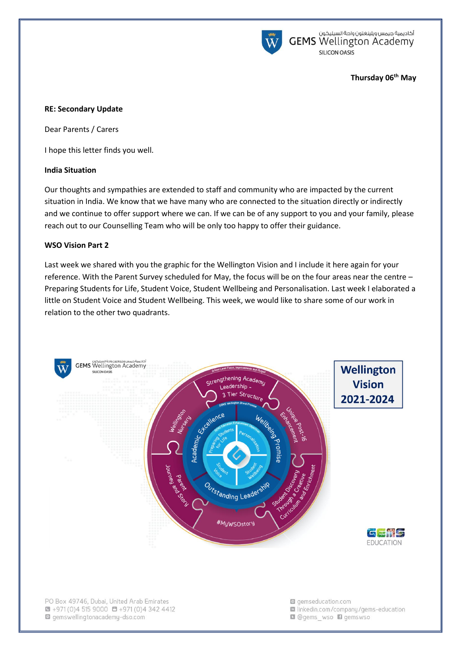

أكاديمية جيمس ويلينغتون واحة السيليكون<br>GEMS Wellington Academy SILICON OASIS

### **Thursday 06th May**

### **RE: Secondary Update**

Dear Parents / Carers

I hope this letter finds you well.

### **India Situation**

Our thoughts and sympathies are extended to staff and community who are impacted by the current situation in India. We know that we have many who are connected to the situation directly or indirectly and we continue to offer support where we can. If we can be of any support to you and your family, please reach out to our Counselling Team who will be only too happy to offer their guidance.

#### **WSO Vision Part 2**

Last week we shared with you the graphic for the Wellington Vision and I include it here again for your reference. With the Parent Survey scheduled for May, the focus will be on the four areas near the centre -Preparing Students for Life, Student Voice, Student Wellbeing and Personalisation. Last week I elaborated a little on Student Voice and Student Wellbeing. This week, we would like to share some of our work in relation to the other two quadrants.



PO Box 49746, Dubai, United Arab Emirates  $\bullet$  +971 (0)4 515 9000  $\bullet$  +971 (0)4 342 4412 gemswellingtonacademy-dso.com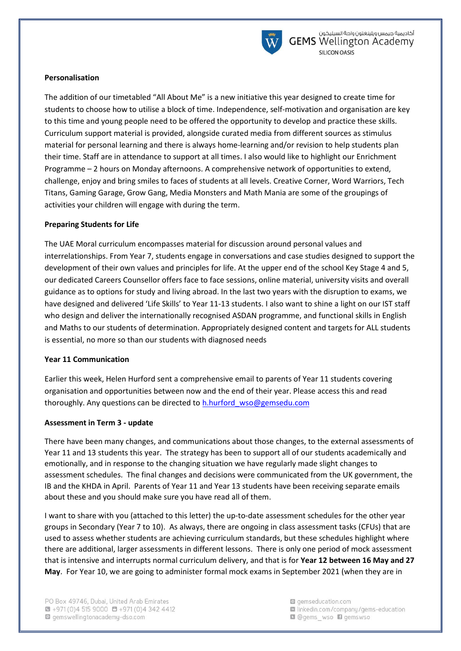

## **Personalisation**

The addition of our timetabled "All About Me" is a new initiative this year designed to create time for students to choose how to utilise a block of time. Independence, self-motivation and organisation are key to this time and young people need to be offered the opportunity to develop and practice these skills. Curriculum support material is provided, alongside curated media from different sources as stimulus material for personal learning and there is always home-learning and/or revision to help students plan their time. Staff are in attendance to support at all times. I also would like to highlight our Enrichment Programme – 2 hours on Monday afternoons. A comprehensive network of opportunities to extend, challenge, enjoy and bring smiles to faces of students at all levels. Creative Corner, Word Warriors, Tech Titans, Gaming Garage, Grow Gang, Media Monsters and Math Mania are some of the groupings of activities your children will engage with during the term.

## **Preparing Students for Life**

The UAE Moral curriculum encompasses material for discussion around personal values and interrelationships. From Year 7, students engage in conversations and case studies designed to support the development of their own values and principles for life. At the upper end of the school Key Stage 4 and 5, our dedicated Careers Counsellor offers face to face sessions, online material, university visits and overall guidance as to options for study and living abroad. In the last two years with the disruption to exams, we have designed and delivered 'Life Skills' to Year 11-13 students. I also want to shine a light on our IST staff who design and deliver the internationally recognised ASDAN programme, and functional skills in English and Maths to our students of determination. Appropriately designed content and targets for ALL students is essential, no more so than our students with diagnosed needs

### **Year 11 Communication**

Earlier this week, Helen Hurford sent a comprehensive email to parents of Year 11 students covering organisation and opportunities between now and the end of their year. Please access this and read thoroughly. Any questions can be directed to h.hurford wso@gemsedu.com

### **Assessment in Term 3 - update**

There have been many changes, and communications about those changes, to the external assessments of Year 11 and 13 students this year. The strategy has been to support all of our students academically and emotionally, and in response to the changing situation we have regularly made slight changes to assessment schedules. The final changes and decisions were communicated from the UK government, the IB and the KHDA in April. Parents of Year 11 and Year 13 students have been receiving separate emails about these and you should make sure you have read all of them.

I want to share with you (attached to this letter) the up-to-date assessment schedules for the other year groups in Secondary (Year 7 to 10). As always, there are ongoing in class assessment tasks (CFUs) that are used to assess whether students are achieving curriculum standards, but these schedules highlight where there are additional, larger assessments in different lessons. There is only one period of mock assessment that is intensive and interrupts normal curriculum delivery, and that is for **Year 12 between 16 May and 27 May**. For Year 10, we are going to administer formal mock exams in September 2021 (when they are in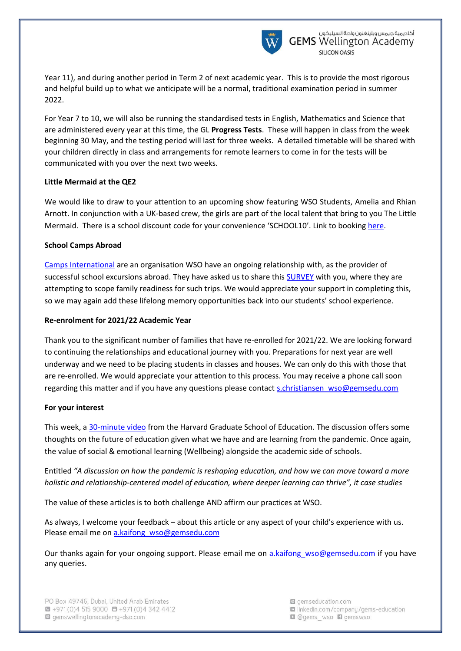

Year 11), and during another period in Term 2 of next academic year. This is to provide the most rigorous and helpful build up to what we anticipate will be a normal, traditional examination period in summer 2022.

For Year 7 to 10, we will also be running the standardised tests in English, Mathematics and Science that are administered every year at this time, the GL **Progress Tests**. These will happen in class from the week beginning 30 May, and the testing period will last for three weeks. A detailed timetable will be shared with your children directly in class and arrangements for remote learners to come in for the tests will be communicated with you over the next two weeks.

## **Little Mermaid at the QE2**

We would like to draw to your attention to an upcoming show featuring WSO Students, Amelia and Rhian Arnott. In conjunction with a UK-based crew, the girls are part of the local talent that bring to you The Little Mermaid. There is a school discount code for your convenience 'SCHOOL10'. Link to booking [here.](https://dubai.platinumlist.net/event-tickets/81004/the-little-mermaid)

# **School Camps Abroad**

[Camps International](http://www.campsinternational.ae/) are an organisation WSO have an ongoing relationship with, as the provider of successful school excursions abroad. They have asked us to share this [SURVEY](https://www.surveymonkey.co.uk/r/G8NSPNF) with you, where they are attempting to scope family readiness for such trips. We would appreciate your support in completing this, so we may again add these lifelong memory opportunities back into our students' school experience.

## **Re-enrolment for 2021/22 Academic Year**

Thank you to the significant number of families that have re-enrolled for 2021/22. We are looking forward to continuing the relationships and educational journey with you. Preparations for next year are well underway and we need to be placing students in classes and houses. We can only do this with those that are re-enrolled. We would appreciate your attention to this process. You may receive a phone call soon regarding this matter and if you have any questions please contact [s.christiansen\\_wso@gemsedu.com](mailto:s.christiansen_wso@gemsedu.com)

# **For your interest**

This week, a [30-minute video](https://www.gse.harvard.edu/news/21/04/education-now-making-schools-more-human) from the Harvard Graduate School of Education. The discussion offers some thoughts on the future of education given what we have and are learning from the pandemic. Once again, the value of social & emotional learning (Wellbeing) alongside the academic side of schools.

Entitled *"A discussion on how the pandemic is reshaping education, and how we can move toward a more holistic and relationship-centered model of education, where deeper learning can thrive", it case studies* 

The value of these articles is to both challenge AND affirm our practices at WSO.

As always, I welcome your feedback – about this article or any aspect of your child's experience with us. Please email me o[n a.kaifong\\_wso@gemsedu.com](a.kaifong_wso@gemsedu.com)

Our thanks again for your ongoing support. Please email me on a.kaifong wso@gemsedu.com if you have any queries.

g gemseducation.com la linkedin.com/company/gems-education **Q** @gems wso **D** gemswso